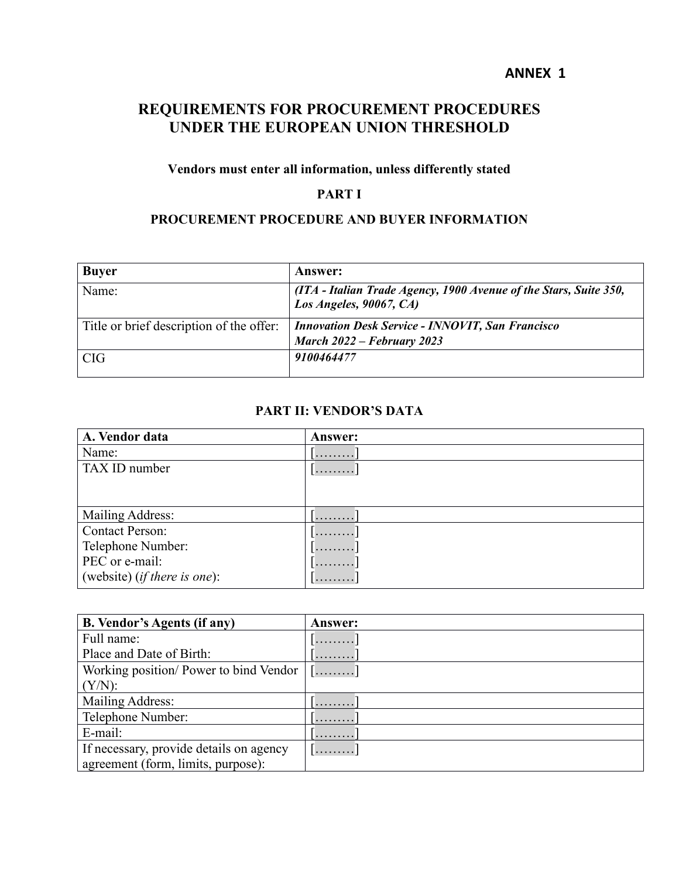#### **ANNEX 1**

# **REQUIREMENTS FOR PROCUREMENT PROCEDURES UNDER THE EUROPEAN UNION THRESHOLD**

## **Vendors must enter all information, unless differently stated**

## **PART I**

#### **PROCUREMENT PROCEDURE AND BUYER INFORMATION**

| <b>Buyer</b>                             | <b>Answer:</b>                                                                               |
|------------------------------------------|----------------------------------------------------------------------------------------------|
| Name:                                    | (ITA - Italian Trade Agency, 1900 Avenue of the Stars, Suite 350,<br>Los Angeles, 90067, CA) |
| Title or brief description of the offer: | <b>Innovation Desk Service - INNOVIT, San Francisco</b>                                      |
|                                          | March $2022$ – February 2023                                                                 |
| CIG                                      | 9100464477                                                                                   |

#### **PART II: VENDOR'S DATA**

| A. Vendor data                        | <b>Answer:</b> |
|---------------------------------------|----------------|
| Name:                                 | .              |
| TAX ID number                         | .              |
|                                       |                |
|                                       |                |
| Mailing Address:                      | .              |
| <b>Contact Person:</b>                | .              |
| Telephone Number:                     | .              |
| PEC or e-mail:                        | .              |
| (website) ( <i>if there is one</i> ): | .              |

| <b>B. Vendor's Agents (if any)</b>      | <b>Answer:</b> |
|-----------------------------------------|----------------|
| Full name:                              |                |
| Place and Date of Birth:                |                |
| Working position/ Power to bind Vendor  | .              |
| $(Y/N)$ :                               |                |
| Mailing Address:                        |                |
| Telephone Number:                       |                |
| E-mail:                                 |                |
| If necessary, provide details on agency | .              |
| agreement (form, limits, purpose):      |                |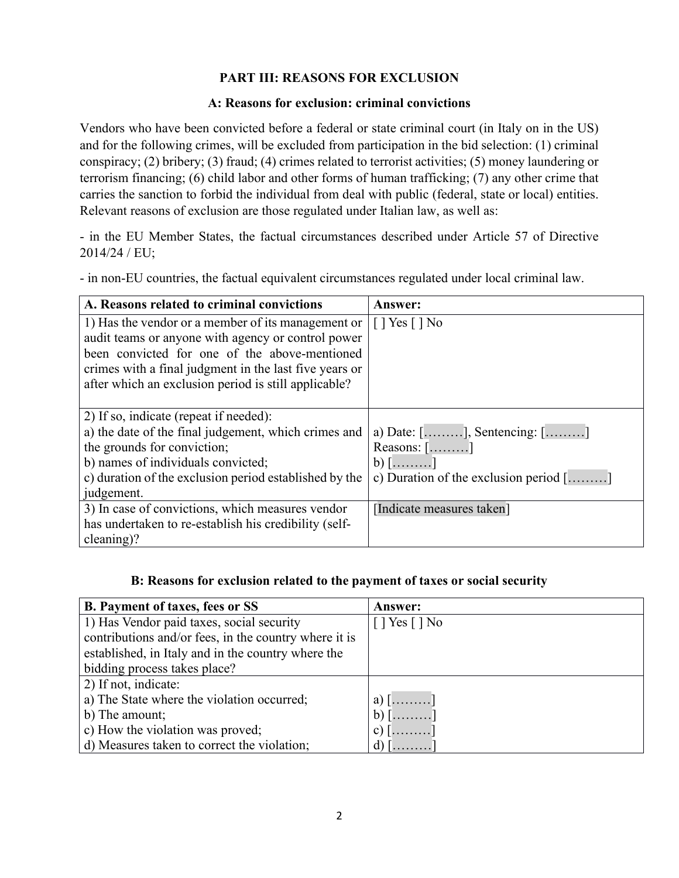## **PART III: REASONS FOR EXCLUSION**

#### **A: Reasons for exclusion: criminal convictions**

Vendors who have been convicted before a federal or state criminal court (in Italy on in the US) and for the following crimes, will be excluded from participation in the bid selection: (1) criminal conspiracy; (2) bribery; (3) fraud; (4) crimes related to terrorist activities; (5) money laundering or terrorism financing; (6) child labor and other forms of human trafficking; (7) any other crime that carries the sanction to forbid the individual from deal with public (federal, state or local) entities. Relevant reasons of exclusion are those regulated under Italian law, as well as:

- in the EU Member States, the factual circumstances described under Article 57 of Directive 2014/24 / EU;

- in non-EU countries, the factual equivalent circumstances regulated under local criminal law.

| A. Reasons related to criminal convictions             | <b>Answer:</b>                                         |
|--------------------------------------------------------|--------------------------------------------------------|
| 1) Has the vendor or a member of its management or     | $[$   Yes $[$   No                                     |
| audit teams or anyone with agency or control power     |                                                        |
| been convicted for one of the above-mentioned          |                                                        |
| crimes with a final judgment in the last five years or |                                                        |
| after which an exclusion period is still applicable?   |                                                        |
|                                                        |                                                        |
| 2) If so, indicate (repeat if needed):                 |                                                        |
| a) the date of the final judgement, which crimes and   | a) Date: $[\dots \dots]$ , Sentencing: $[\dots \dots]$ |
| the grounds for conviction;                            | Reasons: []                                            |
| b) names of individuals convicted;                     | $b)$ $\left[$ ]                                        |
| c) duration of the exclusion period established by the | c) Duration of the exclusion period $[\dots \dots]$    |
| judgement.                                             |                                                        |
| 3) In case of convictions, which measures vendor       | [Indicate measures taken]                              |
| has undertaken to re-establish his credibility (self-  |                                                        |
| cleaning)?                                             |                                                        |

#### **B: Reasons for exclusion related to the payment of taxes or social security**

| <b>B.</b> Payment of taxes, fees or SS                | <b>Answer:</b>                |
|-------------------------------------------------------|-------------------------------|
| 1) Has Vendor paid taxes, social security             | $[$   Yes $[$   No            |
| contributions and/or fees, in the country where it is |                               |
| established, in Italy and in the country where the    |                               |
| bidding process takes place?                          |                               |
| 2) If not, indicate:                                  |                               |
| a) The State where the violation occurred;            | a) $[\ldots \ldots]$          |
| b) The amount;                                        | $b)$ $[\ldots$ ]              |
| c) How the violation was proved;                      | c) $[\ldots, \ldots, \ldots]$ |
| d) Measures taken to correct the violation;           | d) $\left[\ldots\right]$      |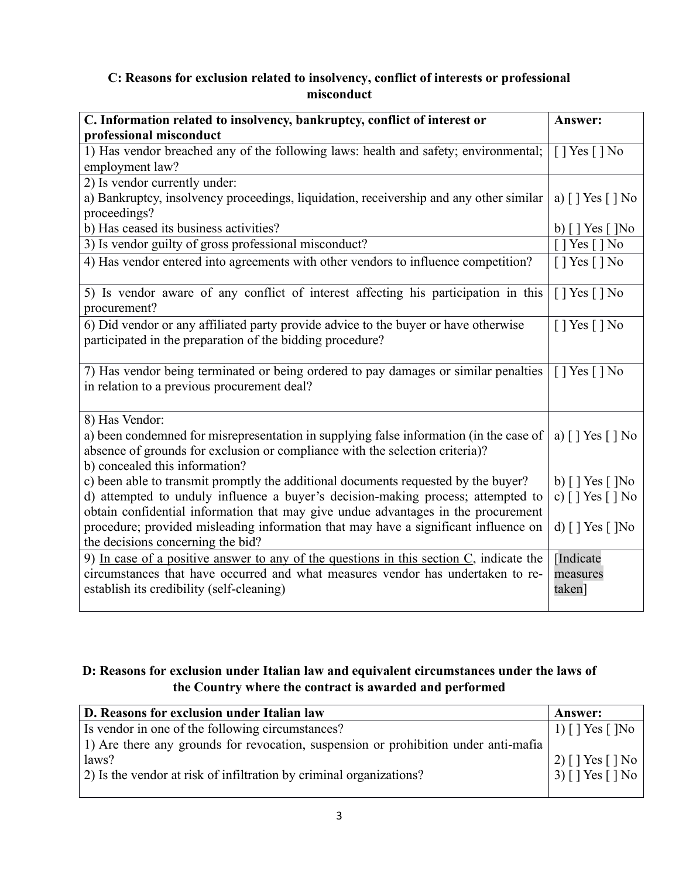## **C: Reasons for exclusion related to insolvency, conflict of interests or professional misconduct**

| C. Information related to insolvency, bankruptcy, conflict of interest or                                                                                                                                                                                   | Answer:                                                            |
|-------------------------------------------------------------------------------------------------------------------------------------------------------------------------------------------------------------------------------------------------------------|--------------------------------------------------------------------|
| professional misconduct                                                                                                                                                                                                                                     |                                                                    |
| 1) Has vendor breached any of the following laws: health and safety; environmental;<br>employment law?                                                                                                                                                      | $[$   Yes $[$   No                                                 |
| 2) Is vendor currently under:                                                                                                                                                                                                                               |                                                                    |
| a) Bankruptcy, insolvency proceedings, liquidation, receivership and any other similar<br>proceedings?                                                                                                                                                      | a) $\lceil$   Yes $\lceil$   No                                    |
| b) Has ceased its business activities?                                                                                                                                                                                                                      | b) [ ] Yes [ ]No                                                   |
| 3) Is vendor guilty of gross professional misconduct?                                                                                                                                                                                                       | $[$ ] Yes $[$ ] No                                                 |
| 4) Has vendor entered into agreements with other vendors to influence competition?                                                                                                                                                                          | $[$   Yes $[$   No                                                 |
| 5) Is vendor aware of any conflict of interest affecting his participation in this<br>procurement?                                                                                                                                                          | $[$   Yes $[$   No                                                 |
| 6) Did vendor or any affiliated party provide advice to the buyer or have otherwise<br>participated in the preparation of the bidding procedure?                                                                                                            | $[$ ] Yes $[$ ] No                                                 |
| 7) Has vendor being terminated or being ordered to pay damages or similar penalties<br>in relation to a previous procurement deal?                                                                                                                          | $[$   Yes $[$   No                                                 |
| 8) Has Vendor:<br>a) been condemned for misrepresentation in supplying false information (in the case of<br>absence of grounds for exclusion or compliance with the selection criteria)?<br>b) concealed this information?                                  | a) $\lceil$   Yes $\lceil$   No                                    |
| c) been able to transmit promptly the additional documents requested by the buyer?<br>d) attempted to unduly influence a buyer's decision-making process; attempted to<br>obtain confidential information that may give undue advantages in the procurement | b) $\lceil$   Yes $\lceil$   No<br>c) $\lceil$   Yes $\lceil$   No |
| procedure; provided misleading information that may have a significant influence on<br>the decisions concerning the bid?                                                                                                                                    | d) $\lceil$   Yes $\lceil$   No                                    |
| 9) In case of a positive answer to any of the questions in this section $C$ , indicate the<br>circumstances that have occurred and what measures vendor has undertaken to re-<br>establish its credibility (self-cleaning)                                  | [Indicate<br>measures<br>taken]                                    |

# **D: Reasons for exclusion under Italian law and equivalent circumstances under the laws of the Country where the contract is awarded and performed**

| D. Reasons for exclusion under Italian law                                          | <b>Answer:</b>                  |
|-------------------------------------------------------------------------------------|---------------------------------|
| Is vendor in one of the following circumstances?                                    | 1) $\lceil$   Yes $\lceil$   No |
| 1) Are there any grounds for revocation, suspension or prohibition under anti-mafia |                                 |
| laws?                                                                               | $(2)$ [ ] Yes [ ] No            |
| 2) Is the vendor at risk of infiltration by criminal organizations?                 | $(3)$ [ ] Yes [ ] No            |
|                                                                                     |                                 |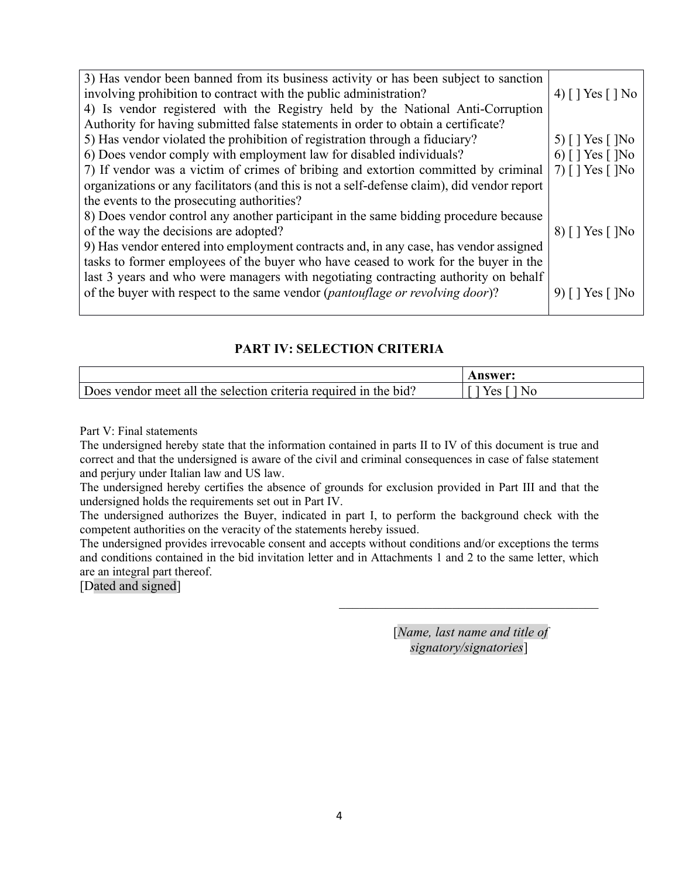| 3) Has vendor been banned from its business activity or has been subject to sanction<br>involving prohibition to contract with the public administration? | 4) [ ] Yes [ ] No               |
|-----------------------------------------------------------------------------------------------------------------------------------------------------------|---------------------------------|
| 4) Is vendor registered with the Registry held by the National Anti-Corruption                                                                            |                                 |
| Authority for having submitted false statements in order to obtain a certificate?                                                                         |                                 |
| 5) Has vendor violated the prohibition of registration through a fiduciary?                                                                               | 5) $\lceil$   Yes $\lceil$   No |
| 6) Does vendor comply with employment law for disabled individuals?                                                                                       | 6) [ ] Yes [ ]No                |
| 7) If vendor was a victim of crimes of bribing and extortion committed by criminal                                                                        | 7) $[$   Yes $[$  No            |
| organizations or any facilitators (and this is not a self-defense claim), did vendor report                                                               |                                 |
| the events to the prosecuting authorities?                                                                                                                |                                 |
| 8) Does vendor control any another participant in the same bidding procedure because                                                                      |                                 |
| of the way the decisions are adopted?                                                                                                                     | $8)$ [ ] Yes [ ]No              |
| 9) Has vendor entered into employment contracts and, in any case, has vendor assigned                                                                     |                                 |
| tasks to former employees of the buyer who have ceased to work for the buyer in the                                                                       |                                 |
| last 3 years and who were managers with negotiating contracting authority on behalf                                                                       |                                 |
| of the buyer with respect to the same vendor (pantouflage or revolving door)?                                                                             | 9) $[$   Yes $[$  No            |
|                                                                                                                                                           |                                 |

#### **PART IV: SELECTION CRITERIA**

|                                                                  | nswer: |
|------------------------------------------------------------------|--------|
| Does vendor meet all the selection criteria required in the bid? | v oo   |

Part V: Final statements

The undersigned hereby state that the information contained in parts II to IV of this document is true and correct and that the undersigned is aware of the civil and criminal consequences in case of false statement and perjury under Italian law and US law.

The undersigned hereby certifies the absence of grounds for exclusion provided in Part III and that the undersigned holds the requirements set out in Part IV.

The undersigned authorizes the Buyer, indicated in part I, to perform the background check with the competent authorities on the veracity of the statements hereby issued.

The undersigned provides irrevocable consent and accepts without conditions and/or exceptions the terms and conditions contained in the bid invitation letter and in Attachments 1 and 2 to the same letter, which are an integral part thereof.

[Dated and signed]

[*Name, last name and title of signatory/signatories*]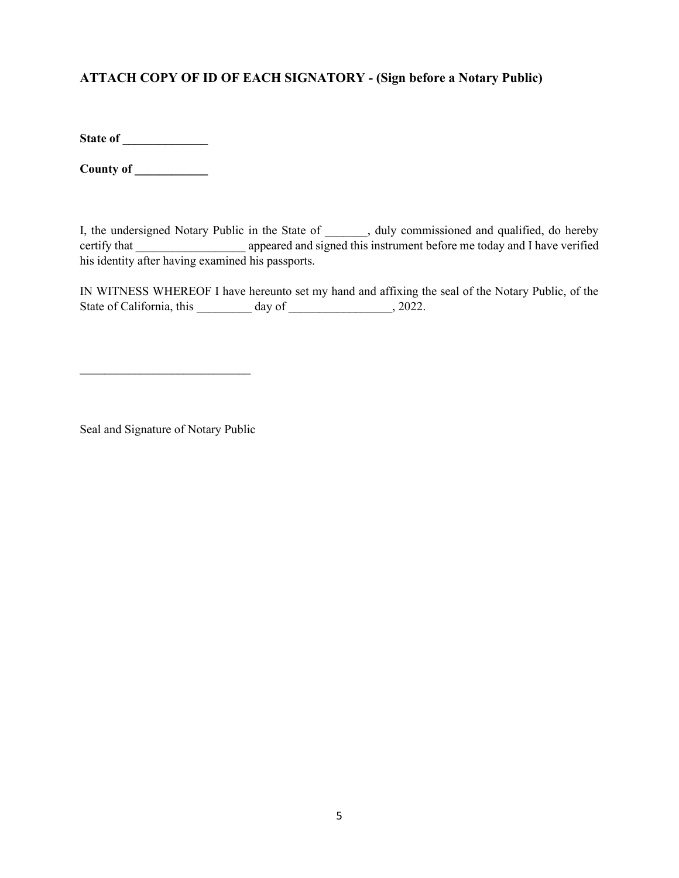# **ATTACH COPY OF ID OF EACH SIGNATORY - (Sign before a Notary Public)**

**State of \_\_\_\_\_\_\_\_\_\_\_\_\_\_**

**County of \_\_\_\_\_\_\_\_\_\_\_\_**

I, the undersigned Notary Public in the State of \_\_\_\_\_\_, duly commissioned and qualified, do hereby certify that \_\_\_\_\_\_\_\_\_\_\_\_\_\_\_\_\_\_\_\_\_\_ appeared and signed this instrument before me today and I have verified his identity after having examined his passports.

IN WITNESS WHEREOF I have hereunto set my hand and affixing the seal of the Notary Public, of the State of California, this \_\_\_\_\_\_\_\_\_ day of \_\_\_\_\_\_\_\_\_\_\_\_\_\_\_, 2022.

Seal and Signature of Notary Public

 $\mathcal{L}_\text{max}$